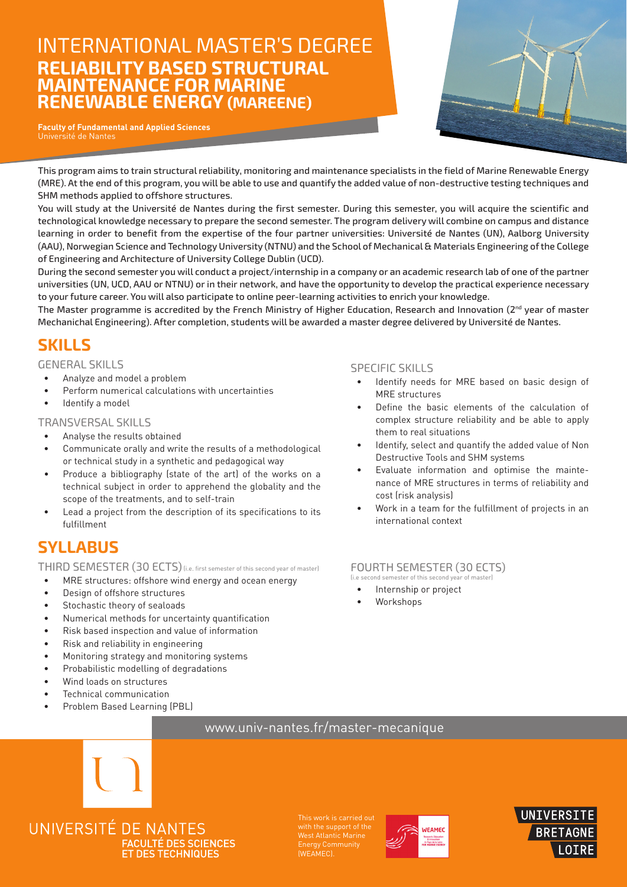# International master's degree **Reliability Based Structural MAintenance for marine REnewable ENErgy (MAREENE)**

**Faculty of Fundamental and Applied Sciences** Université de Nantes



This program aims to train structural reliability, monitoring and maintenance specialists in the field of Marine Renewable Energy (MRE). At the end of this program, you will be able to use and quantify the added value of non-destructive testing techniques and SHM methods applied to offshore structures.

You will study at the Université de Nantes during the first semester. During this semester, you will acquire the scientific and technological knowledge necessary to prepare the second semester. The program delivery will combine on campus and distance learning in order to benefit from the expertise of the four partner universities: Université de Nantes (UN), Aalborg University (AAU), Norwegian Science and Technology University (NTNU) and the School of Mechanical & Materials Engineering of the College of Engineering and Architecture of University College Dublin (UCD).

During the second semester you will conduct a project/internship in a company or an academic research lab of one of the partner universities (UN, UCD, AAU or NTNU) or in their network, and have the opportunity to develop the practical experience necessary to your future career. You will also participate to online peer-learning activities to enrich your knowledge.

The Master programme is accredited by the French Ministry of Higher Education, Research and Innovation (2<sup>nd</sup> year of master Mechanichal Engineering). After completion, students will be awarded a master degree delivered by Université de Nantes.

## **Skills**

General skills

- Analyze and model a problem
- Perform numerical calculations with uncertainties
- Identify a model

#### Transversal skills

- Analyse the results obtained
- Communicate orally and write the results of a methodological or technical study in a synthetic and pedagogical way
- • Produce a bibliography (state of the art) of the works on a technical subject in order to apprehend the globality and the scope of the treatments, and to self-train
- Lead a project from the description of its specifications to its fulfillment

## **syllabus**

THIRD SEMESTER (30 ECTS) (i.e. first semester of this second year of master)

- MRE structures: offshore wind energy and ocean energy
- Design of offshore structures
- Stochastic theory of sealoads
- Numerical methods for uncertainty quantification
- Risk based inspection and value of information
- Risk and reliability in engineering
- Monitoring strategy and monitoring systems
- • Probabilistic modelling of degradations
- Wind loads on structures
- Technical communication
- Problem Based Learning (PBL)

### Specific skills

- Identify needs for MRE based on basic design of MRE structures
- Define the basic elements of the calculation of complex structure reliability and be able to apply them to real situations
- Identify, select and quantify the added value of Non Destructive Tools and SHM systems
- Evaluate information and optimise the maintenance of MRE structures in terms of reliability and cost (risk analysis)
- Work in a team for the fulfillment of projects in an international context

#### fourth Semester (30 ECTS) (i.e second semester of this second year of master)

- Internship or project
- Workshops

### www.univ-nantes.fr/master-mecanique



UNIVERSITÉ DE NANTES **FACULTÉ DES SCIENCES ET DES TECHNIQUES** 

This work is carried out with the support of the (WEAMEC).